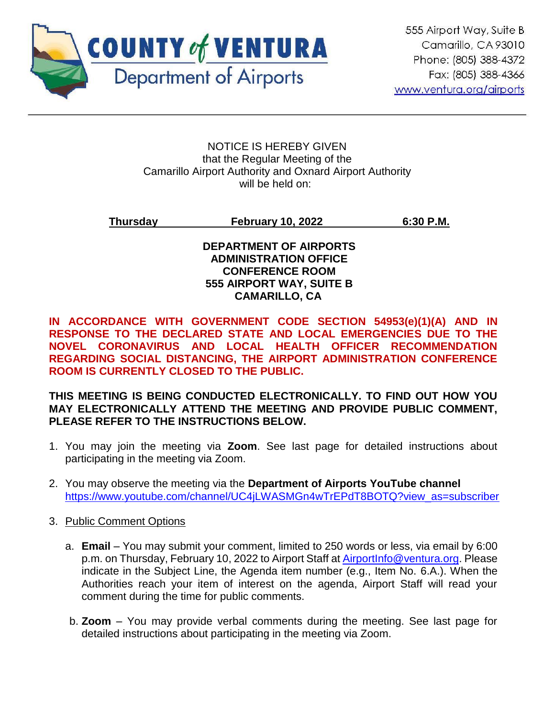

#### NOTICE IS HEREBY GIVEN that the Regular Meeting of the Camarillo Airport Authority and Oxnard Airport Authority will be held on:

# **Thursday February 10, 2022 6:30 P.M.**

# **DEPARTMENT OF AIRPORTS ADMINISTRATION OFFICE CONFERENCE ROOM 555 AIRPORT WAY, SUITE B CAMARILLO, CA**

**IN ACCORDANCE WITH GOVERNMENT CODE SECTION 54953(e)(1)(A) AND IN RESPONSE TO THE DECLARED STATE AND LOCAL EMERGENCIES DUE TO THE NOVEL CORONAVIRUS AND LOCAL HEALTH OFFICER RECOMMENDATION REGARDING SOCIAL DISTANCING, THE AIRPORT ADMINISTRATION CONFERENCE ROOM IS CURRENTLY CLOSED TO THE PUBLIC.** 

# **THIS MEETING IS BEING CONDUCTED ELECTRONICALLY. TO FIND OUT HOW YOU MAY ELECTRONICALLY ATTEND THE MEETING AND PROVIDE PUBLIC COMMENT, PLEASE REFER TO THE INSTRUCTIONS BELOW.**

- 1. You may join the meeting via **Zoom**. See last page for detailed instructions about participating in the meeting via Zoom.
- 2. You may observe the meeting via the **Department of Airports YouTube channel** [https://www.youtube.com/channel/UC4jLWASMGn4wTrEPdT8BOTQ?view\\_as=subscriber](https://www.youtube.com/channel/UC4jLWASMGn4wTrEPdT8BOTQ?view_as=subscriber)

# 3. Public Comment Options

- a. **Email**  You may submit your comment, limited to 250 words or less, via email by 6:00 p.m. on Thursday, February 10, 2022 to Airport Staff at [AirportInfo@ventura.org.](mailto:AirportInfo@ventura.org) Please indicate in the Subject Line, the Agenda item number (e.g., Item No. 6.A.). When the Authorities reach your item of interest on the agenda, Airport Staff will read your comment during the time for public comments.
- b. **Zoom** You may provide verbal comments during the meeting. See last page for detailed instructions about participating in the meeting via Zoom.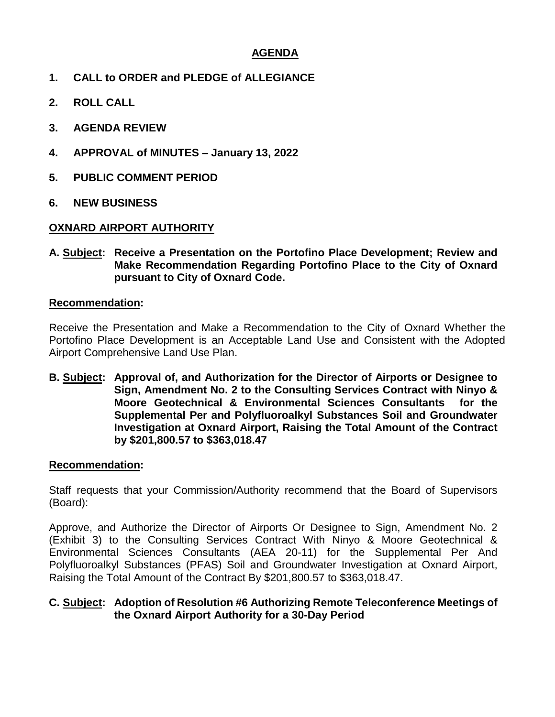# **AGENDA**

- **1. CALL to ORDER and PLEDGE of ALLEGIANCE**
- **2. ROLL CALL**
- **3. AGENDA REVIEW**
- **4. APPROVAL of MINUTES – January 13, 2022**
- **5. PUBLIC COMMENT PERIOD**
- **6. NEW BUSINESS**

# **OXNARD AIRPORT AUTHORITY**

**A. Subject: Receive a Presentation on the Portofino Place Development; Review and Make Recommendation Regarding Portofino Place to the City of Oxnard pursuant to City of Oxnard Code.**

#### **Recommendation:**

Receive the Presentation and Make a Recommendation to the City of Oxnard Whether the Portofino Place Development is an Acceptable Land Use and Consistent with the Adopted Airport Comprehensive Land Use Plan.

**B. Subject: Approval of, and Authorization for the Director of Airports or Designee to Sign, Amendment No. 2 to the Consulting Services Contract with Ninyo & Moore Geotechnical & Environmental Sciences Consultants for the Supplemental Per and Polyfluoroalkyl Substances Soil and Groundwater Investigation at Oxnard Airport, Raising the Total Amount of the Contract by \$201,800.57 to \$363,018.47**

#### **Recommendation:**

Staff requests that your Commission/Authority recommend that the Board of Supervisors (Board):

Approve, and Authorize the Director of Airports Or Designee to Sign, Amendment No. 2 (Exhibit 3) to the Consulting Services Contract With Ninyo & Moore Geotechnical & Environmental Sciences Consultants (AEA 20-11) for the Supplemental Per And Polyfluoroalkyl Substances (PFAS) Soil and Groundwater Investigation at Oxnard Airport, Raising the Total Amount of the Contract By \$201,800.57 to \$363,018.47.

#### **C. Subject: Adoption of Resolution #6 Authorizing Remote Teleconference Meetings of the Oxnard Airport Authority for a 30-Day Period**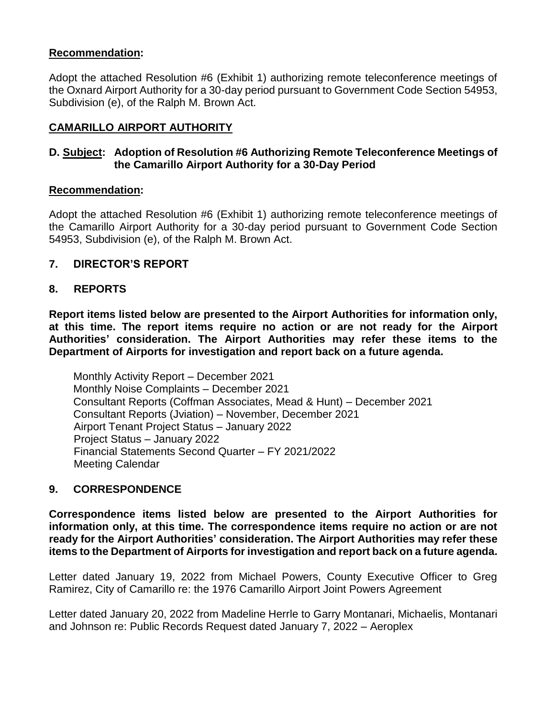## **Recommendation:**

Adopt the attached Resolution #6 (Exhibit 1) authorizing remote teleconference meetings of the Oxnard Airport Authority for a 30-day period pursuant to Government Code Section 54953, Subdivision (e), of the Ralph M. Brown Act.

# **CAMARILLO AIRPORT AUTHORITY**

# **D. Subject: Adoption of Resolution #6 Authorizing Remote Teleconference Meetings of the Camarillo Airport Authority for a 30-Day Period**

#### **Recommendation:**

Adopt the attached Resolution #6 (Exhibit 1) authorizing remote teleconference meetings of the Camarillo Airport Authority for a 30-day period pursuant to Government Code Section 54953, Subdivision (e), of the Ralph M. Brown Act.

#### **7. DIRECTOR'S REPORT**

#### **8. REPORTS**

**Report items listed below are presented to the Airport Authorities for information only, at this time. The report items require no action or are not ready for the Airport Authorities' consideration. The Airport Authorities may refer these items to the Department of Airports for investigation and report back on a future agenda.** 

Monthly Activity Report – December 2021 Monthly Noise Complaints – December 2021 Consultant Reports (Coffman Associates, Mead & Hunt) – December 2021 Consultant Reports (Jviation) – November, December 2021 Airport Tenant Project Status – January 2022 Project Status – January 2022 Financial Statements Second Quarter – FY 2021/2022 Meeting Calendar

#### **9. CORRESPONDENCE**

**Correspondence items listed below are presented to the Airport Authorities for information only, at this time. The correspondence items require no action or are not ready for the Airport Authorities' consideration. The Airport Authorities may refer these items to the Department of Airports for investigation and report back on a future agenda.** 

Letter dated January 19, 2022 from Michael Powers, County Executive Officer to Greg Ramirez, City of Camarillo re: the 1976 Camarillo Airport Joint Powers Agreement

Letter dated January 20, 2022 from Madeline Herrle to Garry Montanari, Michaelis, Montanari and Johnson re: Public Records Request dated January 7, 2022 – Aeroplex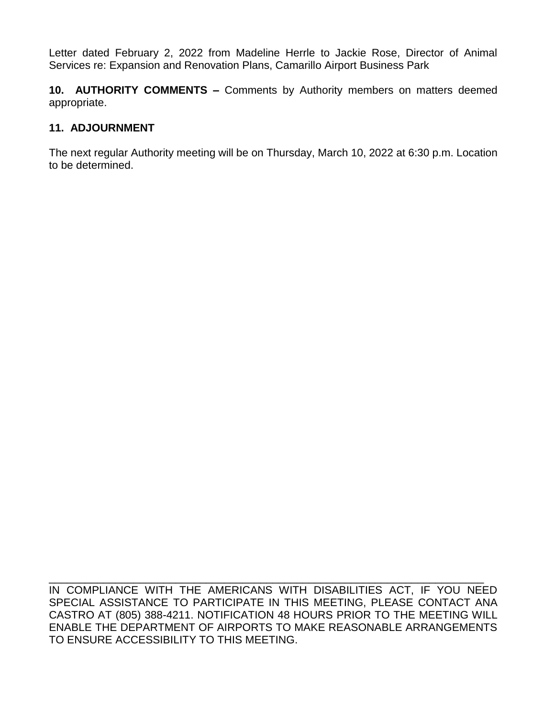Letter dated February 2, 2022 from Madeline Herrle to Jackie Rose, Director of Animal Services re: Expansion and Renovation Plans, Camarillo Airport Business Park

**10. AUTHORITY COMMENTS –** Comments by Authority members on matters deemed appropriate.

# **11. ADJOURNMENT**

The next regular Authority meeting will be on Thursday, March 10, 2022 at 6:30 p.m. Location to be determined.

IN COMPLIANCE WITH THE AMERICANS WITH DISABILITIES ACT, IF YOU NEED SPECIAL ASSISTANCE TO PARTICIPATE IN THIS MEETING, PLEASE CONTACT ANA CASTRO AT (805) 388-4211. NOTIFICATION 48 HOURS PRIOR TO THE MEETING WILL ENABLE THE DEPARTMENT OF AIRPORTS TO MAKE REASONABLE ARRANGEMENTS TO ENSURE ACCESSIBILITY TO THIS MEETING.

\_\_\_\_\_\_\_\_\_\_\_\_\_\_\_\_\_\_\_\_\_\_\_\_\_\_\_\_\_\_\_\_\_\_\_\_\_\_\_\_\_\_\_\_\_\_\_\_\_\_\_\_\_\_\_\_\_\_\_\_\_\_\_\_\_\_\_\_\_\_\_\_